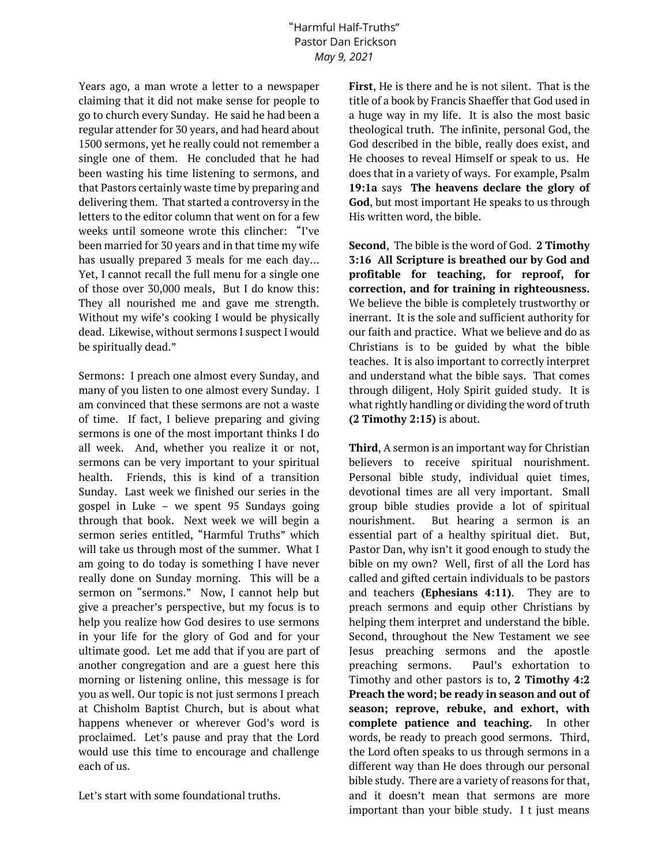## "Harmful Half-Truths" Pastor Dan Erickson *May 9, 2021*

Years ago, a man wrote a letter to a newspaper claiming that it did not make sense for people to go to church every Sunday. He said he had been a regular attender for 30 years, and had heard about 1500 sermons, yet he really could not remember a single one of them. He concluded that he had been wasting his time listening to sermons, and that Pastors certainly waste time by preparing and delivering them. That started a controversy in the letters to the editor column that went on for a few weeks until someone wrote this clincher: "I've been married for 30 years and in that time my wife has usually prepared 3 meals for me each day… Yet, I cannot recall the full menu for a single one of those over 30,000 meals, But I do know this: They all nourished me and gave me strength. Without my wife's cooking I would be physically dead. Likewise, without sermons I suspect I would be spiritually dead."

Sermons: I preach one almost every Sunday, and many of you listen to one almost every Sunday. I am convinced that these sermons are not a waste of time. If fact, I believe preparing and giving sermons is one of the most important thinks I do all week. And, whether you realize it or not, sermons can be very important to your spiritual health. Friends, this is kind of a transition Sunday. Last week we finished our series in the gospel in Luke – we spent 95 Sundays going through that book. Next week we will begin a sermon series entitled, "Harmful Truths" which will take us through most of the summer. What I am going to do today is something I have never really done on Sunday morning. This will be a sermon on "sermons." Now, I cannot help but give a preacher's perspective, but my focus is to help you realize how God desires to use sermons in your life for the glory of God and for your ultimate good. Let me add that if you are part of another congregation and are a guest here this morning or listening online, this message is for you as well. Our topic is not just sermons I preach at Chisholm Baptist Church, but is about what happens whenever or wherever God's word is proclaimed. Let's pause and pray that the Lord would use this time to encourage and challenge each of us.

Let's start with some foundational truths.

**First**, He is there and he is not silent. That is the title of a book by Francis Shaeffer that God used in a huge way in my life. It is also the most basic theological truth. The infinite, personal God, the God described in the bible, really does exist, and He chooses to reveal Himself or speak to us. He does that in a variety of ways. For example, Psalm **19:1a** says **The heavens declare the glory of God**, but most important He speaks to us through His written word, the bible.

**Second**, The bible is the word of God. **2 Timothy 3:16 All Scripture is breathed our by God and profitable for teaching, for reproof, for correction, and for training in righteousness.** We believe the bible is completely trustworthy or inerrant. It is the sole and sufficient authority for our faith and practice. What we believe and do as Christians is to be guided by what the bible teaches. It is also important to correctly interpret and understand what the bible says. That comes through diligent, Holy Spirit guided study. It is what rightly handling or dividing the word of truth **(2 Timothy 2:15)** is about.

**Third**, A sermon is an important way for Christian believers to receive spiritual nourishment. Personal bible study, individual quiet times, devotional times are all very important. Small group bible studies provide a lot of spiritual nourishment. But hearing a sermon is an essential part of a healthy spiritual diet. But, Pastor Dan, why isn't it good enough to study the bible on my own? Well, first of all the Lord has called and gifted certain individuals to be pastors and teachers **(Ephesians 4:11)**. They are to preach sermons and equip other Christians by helping them interpret and understand the bible. Second, throughout the New Testament we see Jesus preaching sermons and the apostle preaching sermons. Paul's exhortation to Timothy and other pastors is to, **2 Timothy 4:2 Preach the word; be ready in season and out of season; reprove, rebuke, and exhort, with complete patience and teaching.** In other words, be ready to preach good sermons. Third, the Lord often speaks to us through sermons in a different way than He does through our personal bible study. There are a variety of reasons for that, and it doesn't mean that sermons are more important than your bible study. I t just means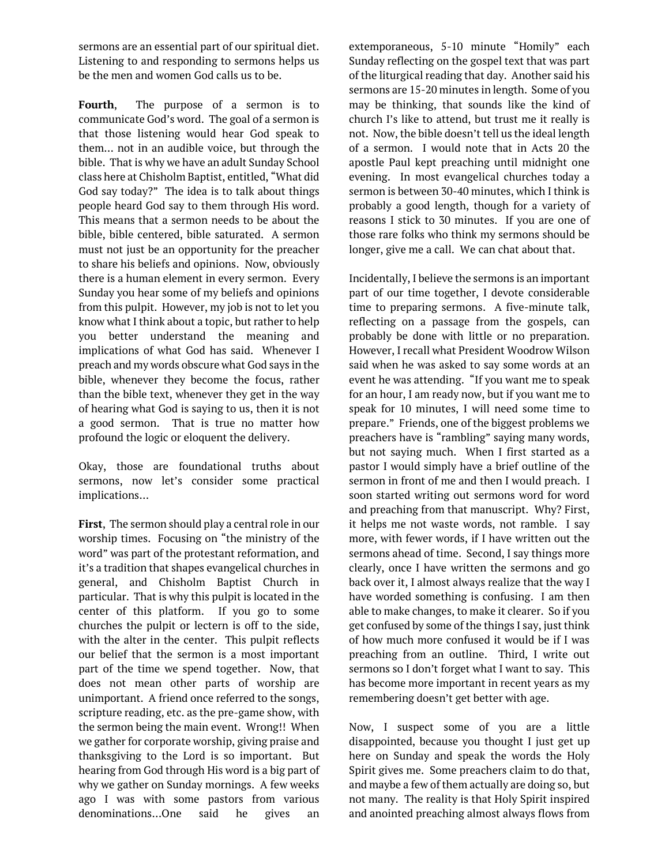sermons are an essential part of our spiritual diet. Listening to and responding to sermons helps us be the men and women God calls us to be.

**Fourth**, The purpose of a sermon is to communicate God's word. The goal of a sermon is that those listening would hear God speak to them… not in an audible voice, but through the bible. That is why we have an adult Sunday School class here at Chisholm Baptist, entitled, "What did God say today?" The idea is to talk about things people heard God say to them through His word. This means that a sermon needs to be about the bible, bible centered, bible saturated. A sermon must not just be an opportunity for the preacher to share his beliefs and opinions. Now, obviously there is a human element in every sermon. Every Sunday you hear some of my beliefs and opinions from this pulpit. However, my job is not to let you know what I think about a topic, but rather to help you better understand the meaning and implications of what God has said. Whenever I preach and my words obscure what God says in the bible, whenever they become the focus, rather than the bible text, whenever they get in the way of hearing what God is saying to us, then it is not a good sermon. That is true no matter how profound the logic or eloquent the delivery.

Okay, those are foundational truths about sermons, now let's consider some practical implications…

**First**, The sermon should play a central role in our worship times. Focusing on "the ministry of the word" was part of the protestant reformation, and it's a tradition that shapes evangelical churches in general, and Chisholm Baptist Church in particular. That is why this pulpit is located in the center of this platform. If you go to some churches the pulpit or lectern is off to the side, with the alter in the center. This pulpit reflects our belief that the sermon is a most important part of the time we spend together. Now, that does not mean other parts of worship are unimportant. A friend once referred to the songs, scripture reading, etc. as the pre-game show, with the sermon being the main event. Wrong!! When we gather for corporate worship, giving praise and thanksgiving to the Lord is so important. But hearing from God through His word is a big part of why we gather on Sunday mornings. A few weeks ago I was with some pastors from various denominations…One said he gives an

extemporaneous, 5-10 minute "Homily" each Sunday reflecting on the gospel text that was part of the liturgical reading that day. Another said his sermons are 15-20 minutes in length. Some of you may be thinking, that sounds like the kind of church I's like to attend, but trust me it really is not. Now, the bible doesn't tell us the ideal length of a sermon. I would note that in Acts 20 the apostle Paul kept preaching until midnight one evening. In most evangelical churches today a sermon is between 30-40 minutes, which I think is probably a good length, though for a variety of reasons I stick to 30 minutes. If you are one of those rare folks who think my sermons should be longer, give me a call. We can chat about that.

Incidentally, I believe the sermons is an important part of our time together, I devote considerable time to preparing sermons. A five-minute talk, reflecting on a passage from the gospels, can probably be done with little or no preparation. However, I recall what President Woodrow Wilson said when he was asked to say some words at an event he was attending. "If you want me to speak for an hour, I am ready now, but if you want me to speak for 10 minutes, I will need some time to prepare." Friends, one of the biggest problems we preachers have is "rambling" saying many words, but not saying much. When I first started as a pastor I would simply have a brief outline of the sermon in front of me and then I would preach. I soon started writing out sermons word for word and preaching from that manuscript. Why? First, it helps me not waste words, not ramble. I say more, with fewer words, if I have written out the sermons ahead of time. Second, I say things more clearly, once I have written the sermons and go back over it, I almost always realize that the way I have worded something is confusing. I am then able to make changes, to make it clearer. So if you get confused by some of the things I say, just think of how much more confused it would be if I was preaching from an outline. Third, I write out sermons so I don't forget what I want to say. This has become more important in recent years as my remembering doesn't get better with age.

Now, I suspect some of you are a little disappointed, because you thought I just get up here on Sunday and speak the words the Holy Spirit gives me. Some preachers claim to do that, and maybe a few of them actually are doing so, but not many. The reality is that Holy Spirit inspired and anointed preaching almost always flows from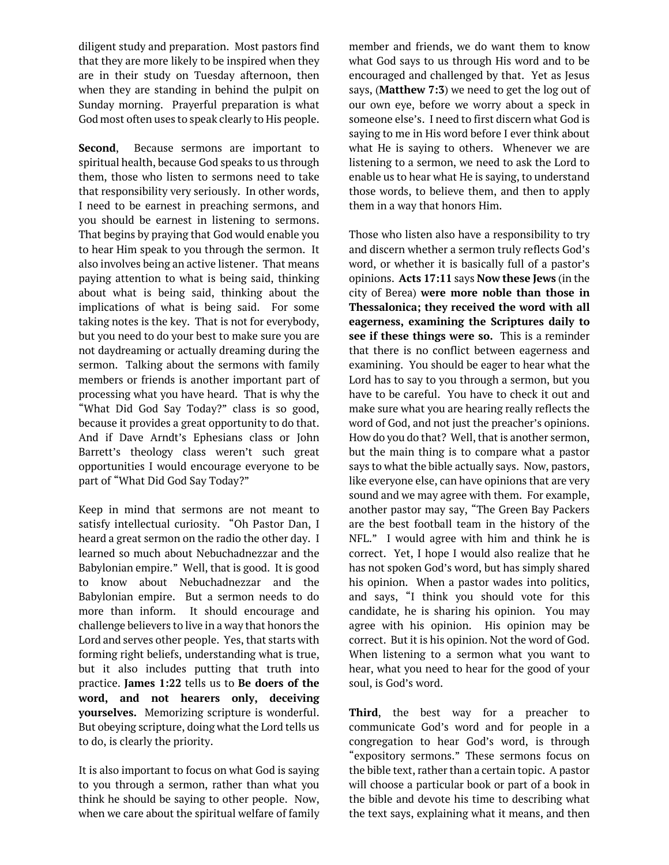diligent study and preparation. Most pastors find that they are more likely to be inspired when they are in their study on Tuesday afternoon, then when they are standing in behind the pulpit on Sunday morning. Prayerful preparation is what God most often uses to speak clearly to His people.

**Second**, Because sermons are important to spiritual health, because God speaks to us through them, those who listen to sermons need to take that responsibility very seriously. In other words, I need to be earnest in preaching sermons, and you should be earnest in listening to sermons. That begins by praying that God would enable you to hear Him speak to you through the sermon. It also involves being an active listener. That means paying attention to what is being said, thinking about what is being said, thinking about the implications of what is being said. For some taking notes is the key. That is not for everybody, but you need to do your best to make sure you are not daydreaming or actually dreaming during the sermon. Talking about the sermons with family members or friends is another important part of processing what you have heard. That is why the "What Did God Say Today?" class is so good, because it provides a great opportunity to do that. And if Dave Arndt's Ephesians class or John Barrett's theology class weren't such great opportunities I would encourage everyone to be part of "What Did God Say Today?"

Keep in mind that sermons are not meant to satisfy intellectual curiosity. "Oh Pastor Dan, I heard a great sermon on the radio the other day. I learned so much about Nebuchadnezzar and the Babylonian empire." Well, that is good. It is good to know about Nebuchadnezzar and the Babylonian empire. But a sermon needs to do more than inform. It should encourage and challenge believers to live in a way that honors the Lord and serves other people. Yes, that starts with forming right beliefs, understanding what is true, but it also includes putting that truth into practice. **James 1:22** tells us to **Be doers of the word, and not hearers only, deceiving yourselves.** Memorizing scripture is wonderful. But obeying scripture, doing what the Lord tells us to do, is clearly the priority.

It is also important to focus on what God is saying to you through a sermon, rather than what you think he should be saying to other people. Now, when we care about the spiritual welfare of family member and friends, we do want them to know what God says to us through His word and to be encouraged and challenged by that. Yet as Jesus says, (**Matthew 7:3**) we need to get the log out of our own eye, before we worry about a speck in someone else's. I need to first discern what God is saying to me in His word before I ever think about what He is saying to others. Whenever we are listening to a sermon, we need to ask the Lord to enable us to hear what He is saying, to understand those words, to believe them, and then to apply them in a way that honors Him.

Those who listen also have a responsibility to try and discern whether a sermon truly reflects God's word, or whether it is basically full of a pastor's opinions. **Acts 17:11** says **Now these Jews** (in the city of Berea) **were more noble than those in Thessalonica; they received the word with all eagerness, examining the Scriptures daily to see if these things were so.** This is a reminder that there is no conflict between eagerness and examining. You should be eager to hear what the Lord has to say to you through a sermon, but you have to be careful. You have to check it out and make sure what you are hearing really reflects the word of God, and not just the preacher's opinions. How do you do that? Well, that is another sermon, but the main thing is to compare what a pastor says to what the bible actually says. Now, pastors, like everyone else, can have opinions that are very sound and we may agree with them. For example, another pastor may say, "The Green Bay Packers are the best football team in the history of the NFL." I would agree with him and think he is correct. Yet, I hope I would also realize that he has not spoken God's word, but has simply shared his opinion. When a pastor wades into politics, and says, "I think you should vote for this candidate, he is sharing his opinion. You may agree with his opinion. His opinion may be correct. But it is his opinion. Not the word of God. When listening to a sermon what you want to hear, what you need to hear for the good of your soul, is God's word.

**Third**, the best way for a preacher to communicate God's word and for people in a congregation to hear God's word, is through "expository sermons." These sermons focus on the bible text, rather than a certain topic. A pastor will choose a particular book or part of a book in the bible and devote his time to describing what the text says, explaining what it means, and then